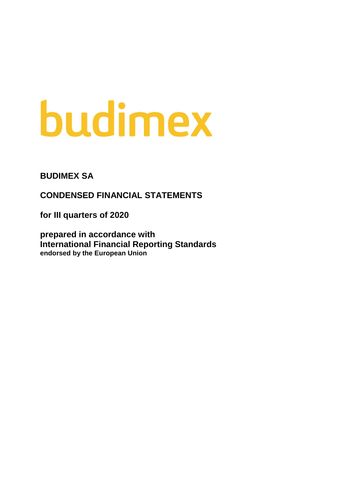# budimex

# **BUDIMEX SA**

**CONDENSED FINANCIAL STATEMENTS** 

**for III quarters of 2020**

**prepared in accordance with International Financial Reporting Standards endorsed by the European Union**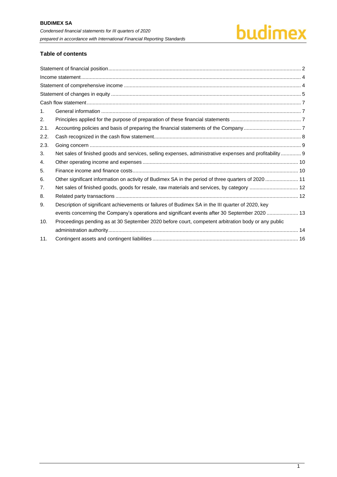# budimex

# **Table of contents**

| 1 <sub>1</sub> |                                                                                                         |  |
|----------------|---------------------------------------------------------------------------------------------------------|--|
| 2.             |                                                                                                         |  |
| 2.1.           |                                                                                                         |  |
| 2.2.           |                                                                                                         |  |
| 2.3.           |                                                                                                         |  |
| 3.             | Net sales of finished goods and services, selling expenses, administrative expenses and profitability 9 |  |
| 4.             |                                                                                                         |  |
| 5.             |                                                                                                         |  |
| 6.             | Other significant information on activity of Budimex SA in the period of three quarters of 2020  11     |  |
| 7.             | Net sales of finished goods, goods for resale, raw materials and services, by category  12              |  |
| 8.             |                                                                                                         |  |
| 9.             | Description of significant achievements or failures of Budimex SA in the III quarter of 2020, key       |  |
|                | events concerning the Company's operations and significant events after 30 September 2020  13           |  |
| 10.            | Proceedings pending as at 30 September 2020 before court, competent arbitration body or any public      |  |
|                |                                                                                                         |  |
| 11.            |                                                                                                         |  |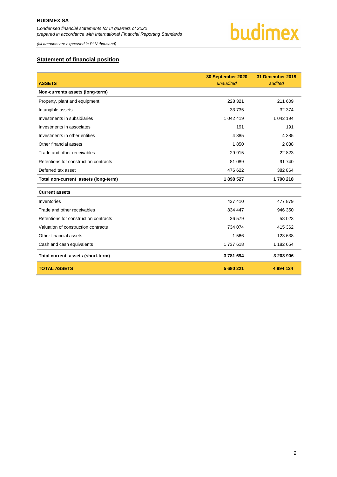*(all amounts are expressed in PLN thousand)*

# <span id="page-2-0"></span>**Statement of financial position**

| <b>ASSETS</b>                         | 30 September 2020<br>unaudited | 31 December 2019<br>audited |
|---------------------------------------|--------------------------------|-----------------------------|
| Non-currents assets (long-term)       |                                |                             |
| Property, plant and equipment         | 228 321                        | 211 609                     |
| Intangible assets                     | 33 735                         | 32 374                      |
| Investments in subsidiaries           | 1 042 419                      | 1 042 194                   |
| Investments in associates             | 191                            | 191                         |
| Investments in other entities         | 4 3 8 5                        | 4 3 8 5                     |
| Other financial assets                | 1850                           | 2 0 3 8                     |
| Trade and other receivables           | 29 915                         | 22 823                      |
| Retentions for construction contracts | 81 089                         | 91 740                      |
| Deferred tax asset                    | 476 622                        | 382 864                     |
| Total non-current assets (long-term)  | 1898527                        | 1790 218                    |
| <b>Current assets</b>                 |                                |                             |
| Inventories                           | 437 410                        | 477 879                     |
| Trade and other receivables           | 834 447                        | 946 350                     |
| Retentions for construction contracts | 36 579                         | 58 023                      |
| Valuation of construction contracts   | 734 074                        | 415 362                     |
| Other financial assets                | 1566                           | 123 638                     |
| Cash and cash equivalents             | 1737618                        | 1 182 654                   |
| Total current assets (short-term)     | 3781694                        | 3 203 906                   |
| <b>TOTAL ASSETS</b>                   | 5 680 221                      | 4 9 9 4 1 2 4               |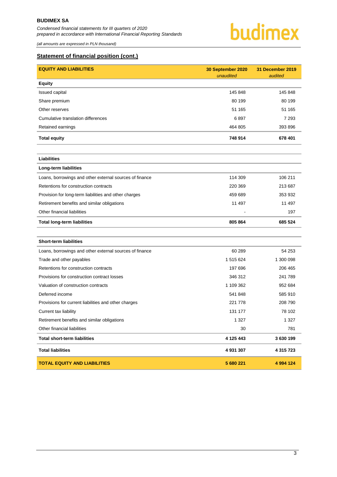*(all amounts are expressed in PLN thousand)*



# **Statement of financial position (cont.)**

| <b>EQUITY AND LIABILITIES</b>                           | 30 September 2020<br>unaudited | 31 December 2019<br>audited |
|---------------------------------------------------------|--------------------------------|-----------------------------|
| <b>Equity</b>                                           |                                |                             |
| <b>Issued capital</b>                                   | 145 848                        | 145 848                     |
| Share premium                                           | 80 199                         | 80 199                      |
| Other reserves                                          | 51 165                         | 51 165                      |
| Cumulative translation differences                      | 6897                           | 7 2 9 3                     |
| Retained earnings                                       | 464 805                        | 393 896                     |
| <b>Total equity</b>                                     | 748 914                        | 678 401                     |
| <b>Liabilities</b>                                      |                                |                             |
| Long-term liabilities                                   |                                |                             |
| Loans, borrowings and other external sources of finance | 114 309                        | 106 211                     |
| Retentions for construction contracts                   | 220 369                        | 213 687                     |
| Provision for long-term liabilities and other charges   | 459 689                        | 353 932                     |
| Retirement benefits and similar obligations             | 11 497                         | 11 497                      |
| Other financial liabilities                             |                                | 197                         |
| <b>Total long-term liabilities</b>                      | 805 864                        | 685 524                     |
|                                                         |                                |                             |
| <b>Short-term liabilities</b>                           |                                |                             |
| Loans, borrowings and other external sources of finance | 60 289                         | 54 253                      |
| Trade and other payables                                | 1 515 624                      | 1 300 098                   |
| Retentions for construction contracts                   | 197 696                        | 206 465                     |
| Provisions for construction contract losses             | 346 312                        | 241 789                     |
| Valuation of construction contracts                     | 1 109 362                      | 952 684                     |
| Deferred income                                         | 541 848                        | 585 910                     |
| Provisions for current liabilities and other charges    | 221 778                        | 208 790                     |
| Current tax liability                                   | 131 177                        | 78 102                      |
| Retirement benefits and similar obligations             | 1 3 2 7                        | 1 3 2 7                     |
| Other financial liabilities                             | 30                             | 781                         |
| <b>Total short-term liabilities</b>                     | 4 125 443                      | 3630199                     |
| <b>Total liabilities</b>                                | 4 931 307                      | 4 315 723                   |

**TOTAL EQUITY AND LIABILITIES 5 680 221 4 994 124**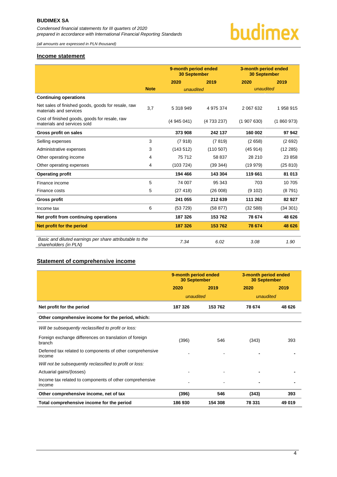*(all amounts are expressed in PLN thousand)*

# <span id="page-4-0"></span>**Income statement**

|                                                                              |             | 9-month period ended<br><b>30 September</b> |             | 3-month period ended<br><b>30 September</b> |           |
|------------------------------------------------------------------------------|-------------|---------------------------------------------|-------------|---------------------------------------------|-----------|
|                                                                              |             | 2020                                        | 2019        | 2020                                        | 2019      |
|                                                                              | <b>Note</b> | unaudited                                   |             | unaudited                                   |           |
| <b>Continuing operations</b>                                                 |             |                                             |             |                                             |           |
| Net sales of finished goods, goods for resale, raw<br>materials and services | 3.7         | 5 318 949                                   | 4 975 374   | 2 067 632                                   | 1958915   |
| Cost of finished goods, goods for resale, raw<br>materials and services sold |             | (4945041)                                   | (4 733 237) | (1907630)                                   | (1860973) |
| Gross profit on sales                                                        |             | 373 908                                     | 242 137     | 160 002                                     | 97942     |
| Selling expenses                                                             | 3           | (7918)                                      | (7819)      | (2658)                                      | (2692)    |
| Administrative expenses                                                      | 3           | (143512)                                    | (110 507)   | (45914)                                     | (12 285)  |
| Other operating income                                                       | 4           | 75 712                                      | 58 837      | 28 210                                      | 23 858    |
| Other operating expenses                                                     | 4           | (103724)                                    | (39344)     | (19979)                                     | (25 810)  |
| <b>Operating profit</b>                                                      |             | 194 466                                     | 143 304     | 119 661                                     | 81 013    |
| Finance income                                                               | 5           | 74 007                                      | 95 343      | 703                                         | 10 705    |
| Finance costs                                                                | 5           | (27418)                                     | (26008)     | (9 102)                                     | (8791)    |
| <b>Gross profit</b>                                                          |             | 241 055                                     | 212 639     | 111 262                                     | 82 927    |
| Income tax                                                                   | 6           | (53729)                                     | (58 877)    | (32 588)                                    | (34301)   |
| Net profit from continuing operations                                        |             | 187 326                                     | 153 762     | 78 674                                      | 48 626    |
| Net profit for the period                                                    |             | 187 326                                     | 153 762     | 78 674                                      | 48 626    |
|                                                                              |             |                                             |             |                                             |           |

budimex

*Basic and diluted earnings per share attributable to the shareholders (in PLN) 7.34 6.02 3.08 1.90*

### <span id="page-4-1"></span>**Statement of comprehensive income**

|                                                                     | 9-month period ended<br><b>30 September</b> |         | 3-month period ended<br><b>30 September</b> |        |
|---------------------------------------------------------------------|---------------------------------------------|---------|---------------------------------------------|--------|
|                                                                     | 2020                                        | 2019    | 2020                                        | 2019   |
|                                                                     | unaudited                                   |         | unaudited                                   |        |
| Net profit for the period                                           | 187 326                                     | 153 762 | 78 674                                      | 48 626 |
| Other comprehensive income for the period, which:                   |                                             |         |                                             |        |
| Will be subsequently reclassified to profit or loss:                |                                             |         |                                             |        |
| Foreign exchange differences on translation of foreign<br>branch    | (396)                                       | 546     | (343)                                       | 393    |
| Deferred tax related to components of other comprehensive<br>income |                                             |         |                                             |        |
| Will not be subsequently reclassified to profit or loss:            |                                             |         |                                             |        |
| Actuarial gains/(losses)                                            |                                             |         |                                             |        |
| Income tax related to components of other comprehensive<br>income   |                                             |         |                                             |        |
| Other comprehensive income, net of tax                              | (396)                                       | 546     | (343)                                       | 393    |
| Total comprehensive income for the period                           | 186930                                      | 154 308 | 78 331                                      | 49 019 |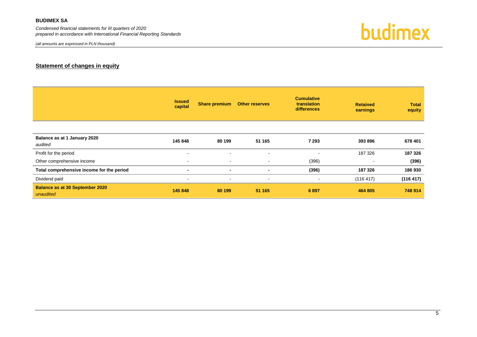*Condensed financial statements for III quarters of 2020 prepared in accordance with International Financial Reporting Standards*

*(all amounts are expressed in PLN thousand)*

budimex

# **Statement of changes in equity**

<span id="page-5-0"></span>

|                                                     | <b>Issued</b><br>capital | <b>Share premium</b>     | <b>Other reserves</b> | <b>Cumulative</b><br>translation<br><b>differences</b> | <b>Retained</b><br>earnings | <b>Total</b><br>equity |
|-----------------------------------------------------|--------------------------|--------------------------|-----------------------|--------------------------------------------------------|-----------------------------|------------------------|
|                                                     |                          |                          |                       |                                                        |                             |                        |
| Balance as at 1 January 2020<br>audited             | 145 848                  | 80 199                   | 51 165                | 7 2 9 3                                                | 393 896                     | 678 401                |
| Profit for the period                               | $\overline{\phantom{a}}$ | $\overline{\phantom{a}}$ | $\blacksquare$        | $\overline{\phantom{a}}$                               | 187 326                     | 187 326                |
| Other comprehensive income                          | $\sim$                   | $\sim$                   | $\sim$                | (396)                                                  | $\sim$                      | (396)                  |
| Total comprehensive income for the period           |                          | $\blacksquare$           | $\blacksquare$        | (396)                                                  | 187 326                     | 186930                 |
| Dividend paid                                       | $\sim$                   | $\sim$                   | $\blacksquare$        | $\sim$                                                 | (116 417)                   | (116 417)              |
| <b>Balance as at 30 September 2020</b><br>unaudited | 145 848                  | 80 199                   | 51 165                | 6897                                                   | 464 805                     | 748 914                |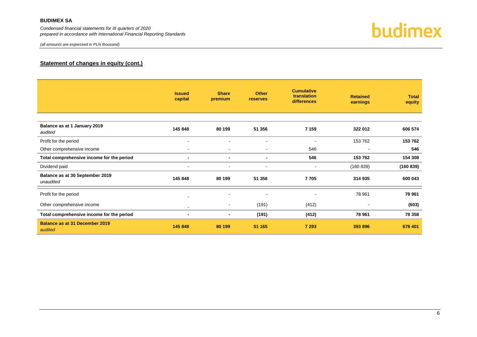*Condensed financial statements for III quarters of 2020 prepared in accordance with International Financial Reporting Standards*



# **Statement of changes in equity (cont.)**

|                                                  | <b>Issued</b><br>capital | <b>Share</b><br>premium  | <b>Other</b><br><b>reserves</b> | <b>Cumulative</b><br>translation<br>differences | <b>Retained</b><br>earnings | <b>Total</b><br>equity |
|--------------------------------------------------|--------------------------|--------------------------|---------------------------------|-------------------------------------------------|-----------------------------|------------------------|
| Balance as at 1 January 2019<br>audited          | 145 848                  | 80 199                   | 51 356                          | 7 1 5 9                                         | 322 012                     | 606 574                |
| Profit for the period                            | $\sim$                   |                          | $\blacksquare$                  | $\blacksquare$                                  | 153 762                     | 153 762                |
| Other comprehensive income                       | $\overline{\phantom{a}}$ | $\blacksquare$           | $\blacksquare$                  | 546                                             |                             | 546                    |
| Total comprehensive income for the period        | $\blacksquare$           | $\blacksquare$           | $\blacksquare$                  | 546                                             | 153 762                     | 154 308                |
| Dividend paid                                    |                          |                          | $\overline{\phantom{a}}$        | $\blacksquare$                                  | (160 839)                   | (160 839)              |
| Balance as at 30 September 2019<br>unaudited     | 145 848                  | 80 199                   | 51 356                          | 7705                                            | 314 935                     | 600 043                |
| Profit for the period                            | $\overline{\phantom{a}}$ |                          |                                 |                                                 | 78 961                      | 78 961                 |
| Other comprehensive income                       | $\sim$                   | $\overline{\phantom{a}}$ | (191)                           | (412)                                           | $\,$ $\,$                   | (603)                  |
| Total comprehensive income for the period        | $\blacksquare$           | $\blacksquare$           | (191)                           | (412)                                           | 78 961                      | 78 358                 |
| <b>Balance as at 31 December 2019</b><br>audited | 145 848                  | 80 199                   | 51 165                          | 7 2 9 3                                         | 393 896                     | 678 401                |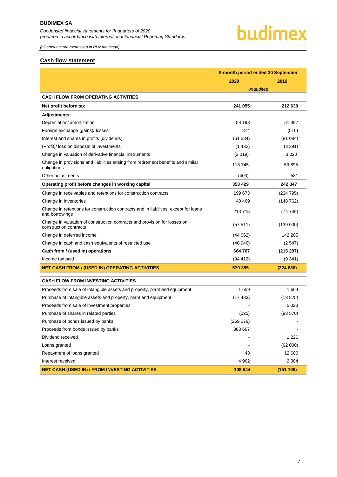# budimex

*(all amounts are expressed in PLN thousand)*

### <span id="page-7-0"></span>**Cash flow statement**

|                                                                                                        | 9-month period ended 30 September |           |
|--------------------------------------------------------------------------------------------------------|-----------------------------------|-----------|
|                                                                                                        | 2020                              | 2019      |
|                                                                                                        | unaudited                         |           |
| <b>CASH FLOW FROM OPERATING ACTIVITIES</b>                                                             |                                   |           |
| Net profit before tax                                                                                  | 241 055                           | 212 639   |
| Adjustments:                                                                                           |                                   |           |
| Depreciation/ amortization                                                                             | 58 193                            | 51 397    |
| Foreign exchange (gains)/ losses                                                                       | 874                               | (510)     |
| Interest and shares in profits (dividends)                                                             | (61584)                           | (81084)   |
| (Profit)/ loss on disposal of investments                                                              | (1432)                            | (3391)    |
| Change in valuation of derivative financial instruments                                                | (2019)                            | 3 0 2 0   |
| Change in provisions and liabilities arising from retirement benefits and similar<br>obligations       | 118 745                           | 59 695    |
| Other adjustments                                                                                      | (403)                             | 581       |
| Operating profit before changes in working capital                                                     | 353 429                           | 242 347   |
| Change in receivables and retentions for construction contracts                                        | 199 673                           | (234795)  |
| Change in inventories                                                                                  | 40 4 69                           | (148762)  |
| Change in retentions for construction contracts and in liabilities, except for loans<br>and borrowings | 213715                            | (74745)   |
| Change in valuation of construction contracts and provision for losses on<br>construction contracts    | (57511)                           | (139000)  |
| Change in deferred income                                                                              | (44062)                           | 142 205   |
| Change in cash and cash equivalents of restricted use                                                  | (40946)                           | (2547)    |
| Cash from / (used in) operations                                                                       | 664767                            | (215 297) |
| Income tax paid                                                                                        | (94 412)                          | (9341)    |
| <b>NET CASH FROM / (USED IN) OPERATING ACTIVITIES</b>                                                  | 570 355                           | (224638)  |
| <b>CASH FLOW FROM INVESTING ACTIVITIES</b>                                                             |                                   |           |
| Proceeds from sale of intangible assets and property, plant and equipment                              | 1659                              | 1664      |
| Purchase of intangible assets and property, plant and equipment                                        | (17483)                           | (13 825)  |
| Proceeds from sale of investment properties                                                            |                                   | 5 3 2 3   |
| Purchase of shares in related parties                                                                  | (225)                             | (98 570)  |
| Purchase of bonds issued by banks                                                                      | (269 079)                         |           |
| Proceeds from bonds issued by banks                                                                    | 388 667                           |           |
| Dividend received                                                                                      |                                   | 1 2 2 6   |
| Loans granted                                                                                          |                                   | (62 000)  |
| Repayment of loans granted                                                                             | 43                                | 12 600    |
| Interest received                                                                                      | 4962                              | 2 3 8 4   |
| <b>NET CASH (USED IN) / FROM INVESTING ACTIVITIES</b>                                                  | 108 544                           | (151 198) |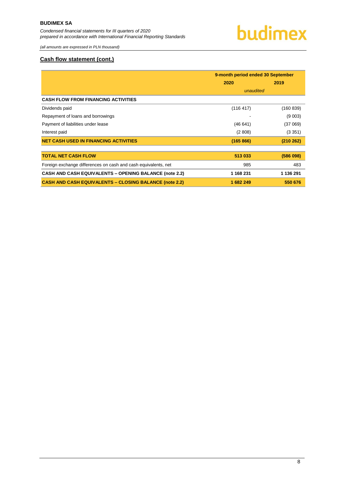

*(all amounts are expressed in PLN thousand)*

### **Cash flow statement (cont.)**

|                                                                | 9-month period ended 30 September |           |
|----------------------------------------------------------------|-----------------------------------|-----------|
|                                                                | 2020                              | 2019      |
|                                                                | unaudited                         |           |
| <b>CASH FLOW FROM FINANCING ACTIVITIES</b>                     |                                   |           |
| Dividends paid                                                 | (116 417)                         | (160 839) |
| Repayment of loans and borrowings                              |                                   | (9 003)   |
| Payment of liabilities under lease                             | (46641)                           | (37069)   |
| Interest paid                                                  | (2808)                            | (3351)    |
| <b>NET CASH USED IN FINANCING ACTIVITIES</b>                   | (165 866)                         | (210 262) |
|                                                                |                                   |           |
| <b>TOTAL NET CASH FLOW</b>                                     | 513 033                           | (586098)  |
| Foreign exchange differences on cash and cash equivalents, net | 985                               | 483       |
| <b>CASH AND CASH EQUIVALENTS - OPENING BALANCE (note 2.2)</b>  | 1 168 231                         | 1 136 291 |
| <b>CASH AND CASH EQUIVALENTS - CLOSING BALANCE (note 2.2)</b>  | 1682249                           | 550 676   |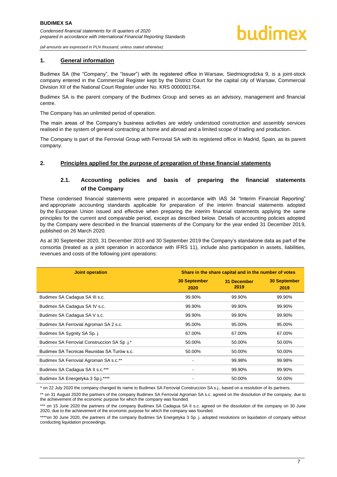*(all amounts are expressed in PLN thousand, unless stated otherwise)*

### <span id="page-9-0"></span>**1. General information**

Budimex SA (the "Company", the "Issuer") with its registered office in Warsaw, Siedmiogrodzka 9, is a joint-stock company entered in the Commercial Register kept by the District Court for the capital city of Warsaw, Commercial Division XII of the National Court Register under No. KRS 0000001764.

Budimex SA is the parent company of the Budimex Group and serves as an advisory, management and financial centre.

The Company has an unlimited period of operation.

The main areas of the Company's business activities are widely understood construction and assembly services realised in the system of general contracting at home and abroad and a limited scope of trading and production.

The Company is part of the Ferrovial Group with Ferrovial SA with its registered office in Madrid, Spain, as its parent company.

### <span id="page-9-2"></span><span id="page-9-1"></span>**2. Principles applied for the purpose of preparation of these financial statements**

# **2.1. Accounting policies and basis of preparing the financial statements of the Company**

These condensed financial statements were prepared in accordance with IAS 34 "Interim Financial Reporting" and appropriate accounting standards applicable for preparation of the interim financial statements adopted by the European Union issued and effective when preparing the interim financial statements applying the same principles for the current and comparable period, except as described below. Details of accounting policies adopted by the Company were described in the financial statements of the Company for the year ended 31 December 2019, published on 26 March 2020.

As at 30 September 2020, 31 December 2019 and 30 September 2019 the Company's standalone data as part of the consortia (treated as a joint operation in accordance with IFRS 11), include also participation in assets, liabilities, revenues and costs of the following joint operations:

| <b>Joint operation</b>                      | Share in the share capital and in the number of votes |                     |                             |  |  |
|---------------------------------------------|-------------------------------------------------------|---------------------|-----------------------------|--|--|
|                                             | <b>30 September</b><br>2020                           | 31 December<br>2019 | <b>30 September</b><br>2019 |  |  |
| Budimex SA Cadagua SA III s.c.              | 99.90%                                                | 99.90%              | 99.90%                      |  |  |
| Budimex SA Cadagua SA IV s.c.               | 99.90%                                                | 99.90%              | 99.90%                      |  |  |
| Budimex SA Cadagua SA V s.c.                | 99.90%                                                | 99.90%              | 99.90%                      |  |  |
| Budimex SA Ferrovial Agroman SA 2 s.c.      | 95.00%                                                | 95.00%              | 95.00%                      |  |  |
| Budimex SA Sygnity SA Sp. j.                | 67.00%                                                | 67.00%              | 67.00%                      |  |  |
| Budimex SA Ferrovial Construccion SA Sp.j.* | 50.00%                                                | 50.00%              | 50.00%                      |  |  |
| Budimex SA Tecnicas Reunidas SA Turów s.c.  | 50.00%                                                | 50.00%              | 50.00%                      |  |  |
| Budimex SA Ferrovial Agroman SA s.c.**      | $\qquad \qquad \blacksquare$                          | 99.98%              | 99.98%                      |  |  |
| Budimex SA Cadagua SA II s.c.***            | $\qquad \qquad \blacksquare$                          | 99.90%              | 99.90%                      |  |  |
| Budimex SA Energetyka 3 Sp.j.****           | ٠                                                     | 50.00%              | 50.00%                      |  |  |

\* on 22 July 2020 the company changed its name to Budimex SA Ferrovial Construccion SA s.j., based on a resolution of its partners.

\*\* on 31 August 2020 the partners of the company Budimex SA Ferrovial Agroman SA s.c. agreed on the dissolution of the company, due to the achievement of the economic purpose for which the company was founded.

\*\*\* on 15 June 2020 the partners of the company Budimex SA Cadagua SA II s.c. agreed on the dissolution of the company on 30 June 2020, due to the achievement of the economic purpose for which the company was founded.

\*\*\*\*on 30 June 2020, the partners of the company Budimex SA Energetyka 3 Sp. j. adopted resolutions on liquidation of company without conducting liquidation proceedings.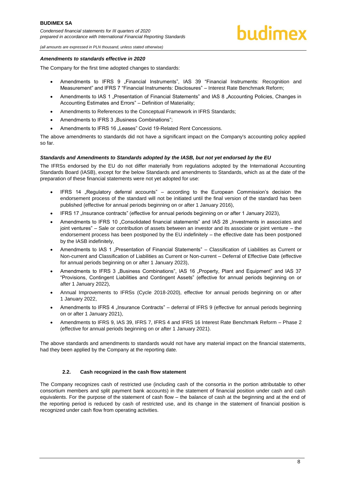*(all amounts are expressed in PLN thousand, unless stated otherwise)*

#### *Amendments to standards effective in 2020*

The Company for the first time adopted changes to standards:

- Amendments to IFRS 9 "Financial Instruments", IAS 39 "Financial Instruments: Recognition and Measurement" and IFRS 7 "Financial Instruments: Disclosures" – Interest Rate Benchmark Reform;
- Amendments to IAS 1 "Presentation of Financial Statements" and IAS 8 "Accounting Policies, Changes in Accounting Estimates and Errors" – Definition of Materiality;
- Amendments to References to the Conceptual Framework in IFRS Standards;
- Amendments to IFRS 3 "Business Combinations";
- Amendments to IFRS 16 "Leases" Covid 19-Related Rent Concessions.

The above amendments to standards did not have a significant impact on the Company's accounting policy applied so far.

### *Standards and Amendments to Standards adopted by the IASB, but not yet endorsed by the EU*

The IFRSs endorsed by the EU do not differ materially from regulations adopted by the International Accounting Standards Board (IASB), except for the below Standards and amendments to Standards, which as at the date of the preparation of these financial statements were not yet adopted for use:

- IFRS 14 "Regulatory deferral accounts" according to the European Commission's decision the endorsement process of the standard will not be initiated until the final version of the standard has been published (effective for annual periods beginning on or after 1 January 2016),
- IFRS 17 "Insurance contracts" (effective for annual periods beginning on or after 1 January 2023),
- Amendments to IFRS 10 "Consolidated financial statements" and IAS 28 "Investments in associates and joint ventures" – Sale or contribution of assets between an investor and its associate or joint venture – the endorsement process has been postponed by the EU indefinitely – the effective date has been postponed by the IASB indefinitely,
- Amendments to IAS 1 "Presentation of Financial Statements" Classification of Liabilities as Current or Non-current and Classification of Liabilities as Current or Non-current - Deferral of Effective Date (effective for annual periods beginning on or after 1 January 2023),
- Amendments to IFRS 3 "Business Combinations", IAS 16 "Property, Plant and Equipment" and IAS 37 "Provisions, Contingent Liabilities and Contingent Assets" (effective for annual periods beginning on or after 1 January 2022),
- Annual Improvements to IFRSs (Cycle 2018-2020), effective for annual periods beginning on or after 1 January 2022,
- Amendments to IFRS 4 "Insurance Contracts" deferral of IFRS 9 (effective for annual periods beginning on or after 1 January 2021),
- Amendments to IFRS 9, IAS 39, IFRS 7, IFRS 4 and IFRS 16 Interest Rate Benchmark Reform Phase 2 (effective for annual periods beginning on or after 1 January 2021).

The above standards and amendments to standards would not have any material impact on the financial statements, had they been applied by the Company at the reporting date.

#### **2.2. Cash recognized in the cash flow statement**

<span id="page-10-0"></span>The Company recognizes cash of restricted use (including cash of the consortia in the portion attributable to other consortium members and split payment bank accounts) in the statement of financial position under cash and cash equivalents. For the purpose of the statement of cash flow – the balance of cash at the beginning and at the end of the reporting period is reduced by cash of restricted use, and its change in the statement of financial position is recognized under cash flow from operating activities.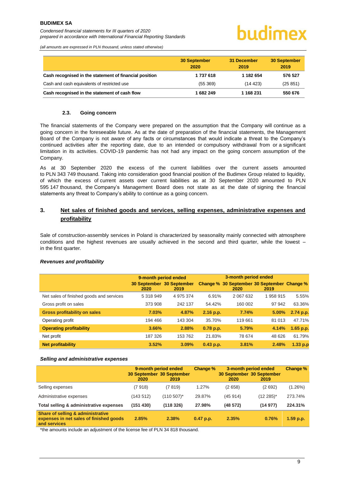# hudimex

*(all amounts are expressed in PLN thousand, unless stated otherwise)*

|                                                        | <b>30 September</b><br>2020 | 31 December<br>2019 | <b>30 September</b><br>2019 |
|--------------------------------------------------------|-----------------------------|---------------------|-----------------------------|
| Cash recognised in the statement of financial position | 1737618                     | 1 182 654           | 576 527                     |
| Cash and cash equivalents of restricted use            | (55369)                     | (14423)             | (25851)                     |
| Cash recognised in the statement of cash flow          | 1682249                     | 1 168 231           | 550 676                     |

### **2.3. Going concern**

<span id="page-11-0"></span>The financial statements of the Company were prepared on the assumption that the Company will continue as a going concern in the foreseeable future. As at the date of preparation of the financial statements, the Management Board of the Company is not aware of any facts or circumstances that would indicate a threat to the Company's continued activities after the reporting date, due to an intended or compulsory withdrawal from or a significant limitation in its activities. COVID-19 pandemic has not had any impact on the going concern assumption of the Company.

As at 30 September 2020 the excess of the current liabilities over the current assets amounted to PLN 343 749 thousand. Taking into consideration good financial position of the Budimex Group related to liquidity, of which the excess of current assets over current liabilities as at 30 September 2020 amounted to PLN 595 147 thousand, the Company's Management Board does not state as at the date of signing the financial statements any threat to Company's ability to continue as a going concern.

# <span id="page-11-1"></span>**3. Net sales of finished goods and services, selling expenses, administrative expenses and profitability**

Sale of construction-assembly services in Poland is characterized by seasonality mainly connected with atmosphere conditions and the highest revenues are usually achieved in the second and third quarter, while the lowest – in the first quarter.

### *Revenues and profitability*

|                                          | 9-month period ended |                                   |             |                                                     |          |            |
|------------------------------------------|----------------------|-----------------------------------|-------------|-----------------------------------------------------|----------|------------|
|                                          | 2020                 | 30 September 30 September<br>2019 |             | Change % 30 September 30 September Change %<br>2020 | 2019     |            |
| Net sales of finished goods and services | 5 318 949            | 4 975 374                         | 6.91%       | 2 067 632                                           | 1958915  | 5.55%      |
| Gross profit on sales                    | 373 908              | 242 137                           | 54.42%      | 160 002                                             | 97 942   | 63.36%     |
| <b>Gross profitability on sales</b>      | 7.03%                | 4.87%                             | 2.16 p.p.   | 7.74%                                               | $5.00\%$ | 2.74 p.p.  |
| Operating profit                         | 194 466              | 143 304                           | 35.70%      | 119 661                                             | 81 013   | 47.71%     |
| <b>Operating profitability</b>           | 3.66%                | 2.88%                             | $0.78$ p.p. | 5.79%                                               | 4.14%    | 1.65 p.p.  |
| Net profit                               | 187 326              | 153 762                           | 21.83%      | 78 674                                              | 48 626   | 61.79%     |
| <b>Net profitability</b>                 | 3.52%                | 3.09%                             | $0.43$ p.p. | 3.81%                                               | 2.48%    | $1.33$ p.p |

### *Selling and administrative expenses*

|                                                                                              | 2020      | 9-month period ended<br>30 September 30 September<br>2019 | Change %    | 3-month period ended<br>30 September 30 September<br>2020 | 2019          | Change %    |
|----------------------------------------------------------------------------------------------|-----------|-----------------------------------------------------------|-------------|-----------------------------------------------------------|---------------|-------------|
| Selling expenses                                                                             | (7 918)   | (7819)                                                    | 1.27%       | (2658)                                                    | (2692)        | (1.26%)     |
| Administrative expenses                                                                      | (143512)  | $(110 507)^*$                                             | 29.87%      | (45914)                                                   | $(12\ 285)^*$ | 273.74%     |
| Total selling & administrative expenses                                                      | (151 430) | (118326)                                                  | 27.98%      | (48572)                                                   | (14977)       | 224.31%     |
| Share of selling & administrative<br>expenses in net sales of finished goods<br>and services | 2.85%     | 2.38%                                                     | $0.47$ p.p. | 2.35%                                                     | 0.76%         | $1.59$ p.p. |

\*the amounts include an adjustment of the license fee of PLN 34 818 thousand.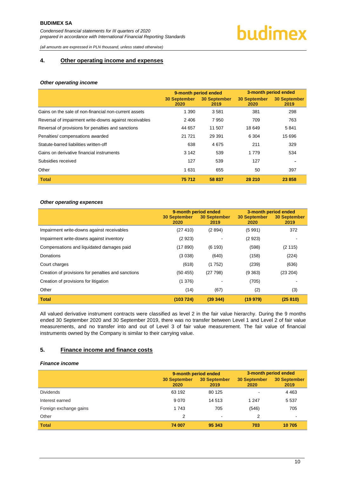# budimex

*(all amounts are expressed in PLN thousand, unless stated otherwise)*

### <span id="page-12-0"></span>**4. Other operating income and expenses**

#### *Other operating income*

|                                                        | 9-month period ended        |                             | 3-month period ended        |                             |
|--------------------------------------------------------|-----------------------------|-----------------------------|-----------------------------|-----------------------------|
|                                                        | <b>30 September</b><br>2020 | <b>30 September</b><br>2019 | <b>30 September</b><br>2020 | <b>30 September</b><br>2019 |
| Gains on the sale of non-financial non-current assets  | 1 3 9 0                     | 3581                        | 381                         | 298                         |
| Reversal of impairment write-downs against receivables | 2 4 0 6                     | 7950                        | 709                         | 763                         |
| Reversal of provisions for penalties and sanctions     | 44 657                      | 11 507                      | 18 649                      | 5841                        |
| Penalties/compensations awarded                        | 21 7 21                     | 29 391                      | 6 3 0 4                     | 15 696                      |
| Statute-barred liabilities written-off                 | 638                         | 4675                        | 211                         | 329                         |
| Gains on derivative financial instruments              | 3 1 4 2                     | 539                         | 1 7 7 9                     | 534                         |
| Subsidies received                                     | 127                         | 539                         | 127                         |                             |
| Other                                                  | 1631                        | 655                         | 50                          | 397                         |
| <b>Total</b>                                           | 75 712                      | 58 837                      | 28 210                      | 23 858                      |

### *Other operating expences*

|                                                    | 9-month period ended<br><b>30 September</b><br>2020 | <b>30 September</b><br>2019 | 3-month period ended<br><b>30 September</b><br>2020 | 30 September<br>2019 |
|----------------------------------------------------|-----------------------------------------------------|-----------------------------|-----------------------------------------------------|----------------------|
| Impairment write-downs against receivables         | (27 410)                                            | (2894)                      | (5991)                                              | 372                  |
| Impairment write-downs against inventory           | (2923)                                              |                             | (2923)                                              |                      |
| Compensations and liquidated damages paid          | (17890)                                             | (6193)                      | (598)                                               | (2115)               |
| Donations                                          | (3038)                                              | (640)                       | (158)                                               | (224)                |
| Court charges                                      | (618)                                               | (1752)                      | (239)                                               | (636)                |
| Creation of provisions for penalties and sanctions | (50455)                                             | (27798)                     | (9363)                                              | (23 204)             |
| Creation of provisions for litigation              | (1376)                                              |                             | (705)                                               |                      |
| Other                                              | (14)                                                | (67)                        | (2)                                                 | (3)                  |
| <b>Total</b>                                       | (103 724)                                           | (39344)                     | (19979)                                             | (25810)              |

All valued derivative instrument contracts were classified as level 2 in the fair value hierarchy. During the 9 months ended 30 September 2020 and 30 September 2019, there was no transfer between Level 1 and Level 2 of fair value measurements, and no transfer into and out of Level 3 of fair value measurement. The fair value of financial instruments owned by the Company is similar to their carrying value.

### <span id="page-12-1"></span>**5. Finance income and finance costs**

### *Finance income*

|                        | 9-month period ended        |                      | 3-month period ended |                             |  |
|------------------------|-----------------------------|----------------------|----------------------|-----------------------------|--|
|                        | <b>30 September</b><br>2020 | 30 September<br>2019 | 30 September<br>2020 | <b>30 September</b><br>2019 |  |
| <b>Dividends</b>       | 63 192                      | 80 125               | $\blacksquare$       | 4 4 6 3                     |  |
| Interest earned        | 9070                        | 14 513               | 1 2 4 7              | 5 5 3 7                     |  |
| Foreign exchange gains | 1 7 4 3                     | 705                  | (546)                | 705                         |  |
| Other                  | 2                           | ۰                    | 2                    |                             |  |
| <b>Total</b>           | 74 007                      | 95 343               | 703                  | 10 705                      |  |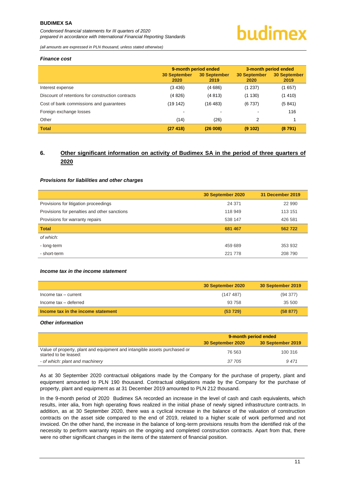*Condensed financial statements for III quarters of 2020 prepared in accordance with International Financial Reporting Standards*

# budimex

*(all amounts are expressed in PLN thousand, unless stated otherwise)*

#### *Finance cost*

|                                                   | 9-month period ended |                             | 3-month period ended        |                             |
|---------------------------------------------------|----------------------|-----------------------------|-----------------------------|-----------------------------|
|                                                   | 30 September<br>2020 | <b>30 September</b><br>2019 | <b>30 September</b><br>2020 | <b>30 September</b><br>2019 |
| Interest expense                                  | (3436)               | (4686)                      | (1 237)                     | (1657)                      |
| Discount of retentions for construction contracts | (4826)               | (4813)                      | (1130)                      | (1410)                      |
| Cost of bank commissions and guarantees           | (19 142)             | (16 483)                    | (6737)                      | (5841)                      |
| Foreign exchange losses                           | $\blacksquare$       |                             | ۰.                          | 116                         |
| Other                                             | (14)                 | (26)                        | 2                           |                             |
| <b>Total</b>                                      | (27418)              | (26008)                     | (9102)                      | (8791)                      |

# <span id="page-13-0"></span>**6. Other significant information on activity of Budimex SA in the period of three quarters of 2020**

### *Provisions for liabilities and other charges*

|                                              | 30 September 2020 | 31 December 2019 |
|----------------------------------------------|-------------------|------------------|
| Provisions for litigation proceedings        | 24 371            | 22 990           |
| Provisions for penalties and other sanctions | 118 949           | 113 151          |
| Provisions for warranty repairs              | 538 147           | 426 581          |
| <b>Total</b>                                 | 681 467           | 562722           |
| of which:                                    |                   |                  |
| - long-term                                  | 459 689           | 353 932          |
| - short-term                                 | 221 778           | 208 790          |

#### *Income tax in the income statement*

|                                    | 30 September 2020 | 30 September 2019 |
|------------------------------------|-------------------|-------------------|
| Income tax - current               | (147 487)         | (94377)           |
| Income tax - deferred              | 93 758            | 35 500            |
| Income tax in the income statement | (53 729)          | (58 877)          |

#### *Other information*

|                                                                                                    | 9-month period ended |                   |  |
|----------------------------------------------------------------------------------------------------|----------------------|-------------------|--|
|                                                                                                    | 30 September 2020    | 30 September 2019 |  |
| Value of property, plant and equipment and intangible assets purchased or<br>started to be leased: | 76 563               | 100 316           |  |
| - of which: plant and machinery                                                                    | 37 705               | 9471              |  |

As at 30 September 2020 contractual obligations made by the Company for the purchase of property, plant and equipment amounted to PLN 190 thousand. Contractual obligations made by the Company for the purchase of property, plant and equipment as at 31 December 2019 amounted to PLN 212 thousand.

In the 9-month period of 2020 Budimex SA recorded an increase in the level of cash and cash equivalents, which results, inter alia, from high operating flows realized in the initial phase of newly signed infrastructure contracts. In addition, as at 30 September 2020, there was a cyclical increase in the balance of the valuation of construction contracts on the asset side compared to the end of 2019, related to a higher scale of work performed and not invoiced. On the other hand, the increase in the balance of long-term provisions results from the identified risk of the necessity to perform warranty repairs on the ongoing and completed construction contracts. Apart from that, there were no other significant changes in the items of the statement of financial position.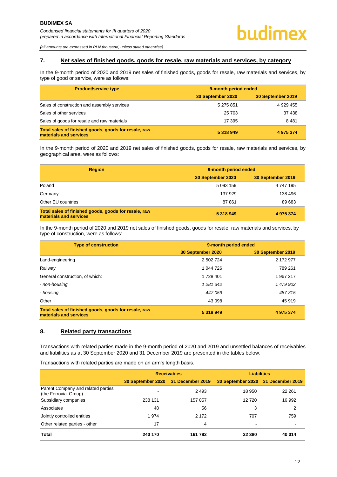*(all amounts are expressed in PLN thousand, unless stated otherwise)*

### <span id="page-14-0"></span>**7. Net sales of finished goods, goods for resale, raw materials and services, by category**

In the 9-month period of 2020 and 2019 net sales of finished goods, goods for resale, raw materials and services, by type of good or service, were as follows:

| <b>Product/service type</b>                                                    | 9-month period ended |                   |  |
|--------------------------------------------------------------------------------|----------------------|-------------------|--|
|                                                                                | 30 September 2020    | 30 September 2019 |  |
| Sales of construction and assembly services                                    | 5 275 851            | 4 929 455         |  |
| Sales of other services                                                        | 25 703               | 37 438            |  |
| Sales of goods for resale and raw materials                                    | 17 395               | 8481              |  |
| Total sales of finished goods, goods for resale, raw<br>materials and services | 5 318 949            | 4 975 374         |  |

In the 9-month period of 2020 and 2019 net sales of finished goods, goods for resale, raw materials and services, by geographical area, were as follows:

| <b>Region</b>                                                                  | 9-month period ended |                   |  |
|--------------------------------------------------------------------------------|----------------------|-------------------|--|
|                                                                                | 30 September 2020    | 30 September 2019 |  |
| Poland                                                                         | 5 0 9 3 1 5 9        | 4 747 195         |  |
| Germany                                                                        | 137 929              | 138 496           |  |
| Other EU countries                                                             | 87861                | 89 683            |  |
| Total sales of finished goods, goods for resale, raw<br>materials and services | 5 318 949            | 4 975 374         |  |

In the 9-month period of 2020 and 2019 net sales of finished goods, goods for resale, raw materials and services, by type of construction, were as follows:

| <b>Type of construction</b>                                                    | 9-month period ended |                   |  |  |
|--------------------------------------------------------------------------------|----------------------|-------------------|--|--|
|                                                                                | 30 September 2020    | 30 September 2019 |  |  |
| Land-engineering                                                               | 2 502 724            | 2 172 977         |  |  |
| Railway                                                                        | 1 044 726            | 789 261           |  |  |
| General construction, of which:                                                | 1 728 401            | 1 967 217         |  |  |
| - non-housing                                                                  | 1 2 8 1 3 4 2        | 1 479 902         |  |  |
| - housing                                                                      | 447 059              | 487315            |  |  |
| Other                                                                          | 43 098               | 45 919            |  |  |
| Total sales of finished goods, goods for resale, raw<br>materials and services | 5 318 949            | 4 975 374         |  |  |

### <span id="page-14-1"></span>**8. Related party transactions**

Transactions with related parties made in the 9-month period of 2020 and 2019 and unsettled balances of receivables and liabilities as at 30 September 2020 and 31 December 2019 are presented in the tables below.

Transactions with related parties are made on an arm's length basis.

|                                                             |                                    | <b>Receivables</b> | <b>Liabilities</b>                 |        |  |
|-------------------------------------------------------------|------------------------------------|--------------------|------------------------------------|--------|--|
|                                                             | 30 September 2020 31 December 2019 |                    | 30 September 2020 31 December 2019 |        |  |
| Parent Company and related parties<br>(the Ferrovial Group) |                                    | 2 4 9 3            | 18 950                             | 22 261 |  |
| Subsidiary companies                                        | 238 131                            | 157 057            | 12720                              | 16 992 |  |
| Associates                                                  | 48                                 | 56                 | 3                                  | 2      |  |
| Jointly controlled entities                                 | 1974                               | 2 1 7 2            | 707                                | 759    |  |
| Other related parties - other                               | 17                                 | 4                  | ۰                                  |        |  |
| Total                                                       | 240 170                            | 161 782            | 32 380                             | 40 014 |  |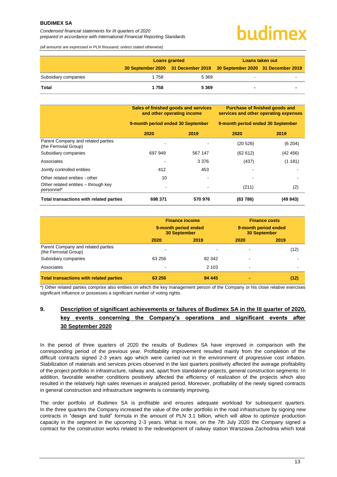*Condensed financial statements for III quarters of 2020 prepared in accordance with International Financial Reporting Standards*

# hudimex

*(all amounts are expressed in PLN thousand, unless stated otherwise)*

|                      | <b>Loans granted</b> |                                                                       | Loans taken out |  |
|----------------------|----------------------|-----------------------------------------------------------------------|-----------------|--|
|                      |                      | 30 September 2020 31 December 2019 30 September 2020 31 December 2019 |                 |  |
| Subsidiary companies | 1 758                | 5 3 6 9                                                               |                 |  |
| <b>Total</b>         | 1758                 | 5 3 6 9                                                               |                 |  |

|                                                             | Sales of finished goods and services<br>and other operating income<br>9-month period ended 30 September |         | Purchase of finished goods and<br>services and other operating expenses |          |
|-------------------------------------------------------------|---------------------------------------------------------------------------------------------------------|---------|-------------------------------------------------------------------------|----------|
|                                                             |                                                                                                         |         | 9-month period ended 30 September                                       |          |
|                                                             | 2020                                                                                                    | 2019    | 2020                                                                    | 2019     |
| Parent Company and related parties<br>(the Ferrovial Group) |                                                                                                         |         | (20 526)                                                                | (6 204)  |
| Subsidiary companies                                        | 697 949                                                                                                 | 567 147 | (62612)                                                                 | (42 456) |
| Associates                                                  |                                                                                                         | 3 3 7 6 | (437)                                                                   | (1181)   |
| Jointly controlled entities                                 | 412                                                                                                     | 453     |                                                                         |          |
| Other related entities - other                              | 10                                                                                                      |         |                                                                         |          |
| Other related entities – through key<br>personnel*          |                                                                                                         |         | (211)                                                                   | (2)      |
| Total transactions with related parties                     | 698 371                                                                                                 | 570 976 | (83786)                                                                 | (49 843) |

|                                                             | <b>Finance income</b><br>9-month period ended<br><b>30 September</b> |         | <b>Finance costs</b><br>9-month period ended<br><b>30 September</b> |      |
|-------------------------------------------------------------|----------------------------------------------------------------------|---------|---------------------------------------------------------------------|------|
|                                                             | 2020                                                                 | 2019    | 2020                                                                | 2019 |
| Parent Company and related parties<br>(the Ferrovial Group) | ٠                                                                    |         |                                                                     | (12) |
| Subsidiary companies                                        | 63 256                                                               | 82 342  |                                                                     |      |
| Associates                                                  | -                                                                    | 2 1 0 3 |                                                                     |      |
| <b>Total transactions with related parties</b>              | 63 256                                                               | 84 445  |                                                                     | (12) |

\*) Other related parties comprise also entities on which the key management person of the Company or his close relative exercises significant influence or possesses a significant number of voting rights.

# <span id="page-15-0"></span>**9. Description of significant achievements or failures of Budimex SA in the III quarter of 2020, key events concerning the Company's operations and significant events after 30 September 2020**

In the period of three quarters of 2020 the results of Budimex SA have improved in comparison with the corresponding period of the previous year. Profitability improvement resulted mainly from the completion of the difficult contracts signed 2-3 years ago which were carried out in the environment of progressive cost inflation. Stabilization of materials and services prices observed in the last quarters positively affected the average profitability of the project portfolio in infrastructure, railway and, apart from standalone projects, general construction segments. In addition, favorable weather conditions positively affected the efficiency of realization of the projects which also resulted in the relatively high sales revenues in analyzed period. Moreover, profitability of the newly signed contracts in general construction and infrastructure segments is constantly improving.

The order portfolio of Budimex SA is profitable and ensures adequate workload for subsequent quarters. In the three quarters the Company increased the value of the order portfolio in the road infrastructure by signing new contracts in "design and build" formula in the amount of PLN 3.1 billion, which will allow to optimize production capacity in the segment in the upcoming 2-3 years. What is more, on the 7th July 2020 the Company signed a contract for the construction works related to the redevelopment of railway station Warszawa Zachodnia which total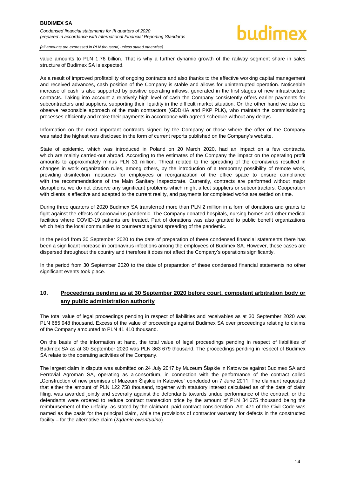*(all amounts are expressed in PLN thousand, unless stated otherwise)*

value amounts to PLN 1.76 billion. That is why a further dynamic growth of the railway segment share in sales structure of Budimex SA is expected.

As a result of improved profitability of ongoing contracts and also thanks to the effective working capital management and received advances, cash position of the Company is stable and allows for uninterrupted operation. Noticeable increase of cash is also supported by positive operating inflows, generated in the first stages of new infrastructure contracts. Taking into account a relatively high level of cash the Company consistently offers earlier payments for subcontractors and suppliers, supporting their liquidity in the difficult market situation. On the other hand we also do observe responsible approach of the main contractors (GDDKiA and PKP PLK), who maintain the commissioning processes efficiently and make their payments in accordance with agreed schedule without any delays.

Information on the most important contracts signed by the Company or those where the offer of the Company was rated the highest was disclosed in the form of current reports published on the Company's website.

State of epidemic, which was introduced in Poland on 20 March 2020, had an impact on a few contracts, which are mainly carried-out abroad. According to the estimates of the Company the impact on the operating profit amounts to approximately minus PLN 31 million. Threat related to the spreading of the coronavirus resulted in changes in work organization rules, among others, by the introduction of a temporary possibility of remote work, providing disinfection measures for employees or reorganization of the office space to ensure compliance with the recommendations of the Main Sanitary Inspectorate. Currently, contracts are performed without major disruptions, we do not observe any significant problems which might affect suppliers or subcontractors. Cooperation with clients is effective and adapted to the current reality, and payments for completed works are settled on time.

During three quarters of 2020 Budimex SA transferred more than PLN 2 million in a form of donations and grants to fight against the effects of coronavirus pandemic. The Company donated hospitals, nursing homes and other medical facilities where COVID-19 patients are treated. Part of donations was also granted to public benefit organizations which help the local communities to counteract against spreading of the pandemic.

In the period from 30 September 2020 to the date of preparation of these condensed financial statements there has been a significant increase in coronavirus infections among the employees of Budimex SA. However, these cases are dispersed throughout the country and therefore it does not affect the Company's operations significantly.

In the period from 30 September 2020 to the date of preparation of these condensed financial statements no other significant events took place.

### <span id="page-16-0"></span>**10. Proceedings pending as at 30 September 2020 before court, competent arbitration body or any public administration authority**

The total value of legal proceedings pending in respect of liabilities and receivables as at 30 September 2020 was PLN 685 948 thousand. Excess of the value of proceedings against Budimex SA over proceedings relating to claims of the Company amounted to PLN 41 410 thousand.

On the basis of the information at hand, the total value of legal proceedings pending in respect of liabilities of Budimex SA as at 30 September 2020 was PLN 363 679 thousand. The proceedings pending in respect of Budimex SA relate to the operating activities of the Company.

The largest claim in dispute was submitted on 24 July 2017 by Muzeum Śląskie in Katowice against Budimex SA and Ferrovial Agroman SA, operating as a consortium, in connection with the performance of the contract called "Construction of new premises of Muzeum Śląskie in Katowice" concluded on 7 June 2011. The claimant requested that either the amount of PLN 122 758 thousand, together with statutory interest calculated as of the date of claim filing, was awarded jointly and severally against the defendants towards undue performance of the contract, or the defendants were ordered to reduce contract transaction price by the amount of PLN 34 675 thousand being the reimbursement of the unfairly, as stated by the claimant, paid contract consideration. Art. 471 of the Civil Code was named as the basis for the principal claim, while the provisions of contractor warranty for defects in the constructed facility – for the alternative claim (*żądanie ewentualne*).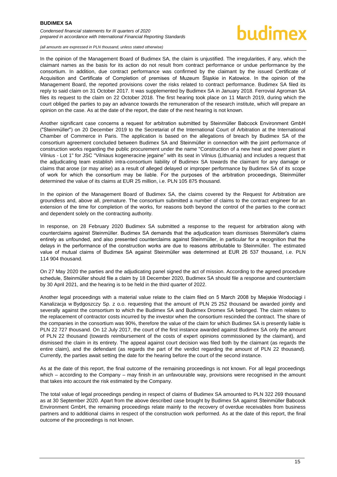*Condensed financial statements for III quarters of 2020 prepared in accordance with International Financial Reporting Standards*

# hudimex

*(all amounts are expressed in PLN thousand, unless stated otherwise)*

In the opinion of the Management Board of Budimex SA, the claim is unjustified. The irregularities, if any, which the claimant names as the basis for its action do not result from contract performance or undue performance by the consortium. In addition, due contract performance was confirmed by the claimant by the issued Certificate of Acquisition and Certificate of Completion of premises of Muzeum Śląskie in Katowice. In the opinion of the Management Board, the reported provisions cover the risks related to contract performance. Budimex SA filed its reply to said claim on 31 October 2017. It was supplemented by Budimex SA in January 2018. Ferrovial Agroman SA files its request to the claim on 22 October 2018. The first hearing took place on 11 March 2019, during which the court obliged the parties to pay an advance towards the remuneration of the research institute, which will prepare an opinion on the case. As at the date of the report, the date of the next hearing is not known.

Another significant case concerns a request for arbitration submitted by Steinmüller Babcock Environment GmbH ("Steinmüller") on 20 December 2019 to the Secretariat of the International Court of Arbitration at the International Chamber of Commerce in Paris. The application is based on the allegations of breach by Budimex SA of the consortium agreement concluded between Budimex SA and Steinmüller in connection with the joint performance of construction works regarding the public procurement under the name "Construction of a new heat and power plant in Vilnius - Lot 1" for JSC "Vilniaus kogeneracine jegaine" with its seat in Vilnius (Lithuania) and includes a request that the adjudicating team establish intra-consortium liability of Budimex SA towards the claimant for any damage or claims that arose (or may arise) as a result of alleged delayed or improper performance by Budimex SA of its scope of work for which the consortium may be liable. For the purposes of the arbitration proceedings, Steinmüller determined the value of its claims at EUR 25 million, i.e. PLN 105 875 thousand.

In the opinion of the Management Board of Budimex SA, the claims covered by the Request for Arbitration are groundless and, above all, premature. The consortium submitted a number of claims to the contract engineer for an extension of the time for completion of the works, for reasons both beyond the control of the parties to the contract and dependent solely on the contracting authority.

In response, on 28 February 2020 Budimex SA submitted a response to the request for arbitration along with counterclaims against Steinmüller. Budimex SA demands that the adjudication team dismisses Steinmüller's claims entirely as unfounded, and also presented counterclaims against Steinmüller, in particular for a recognition that the delays in the performance of the construction works are due to reasons attributable to Steinmüller. The estimated value of mutual claims of Budimex SA against Steinmüller was determined at EUR 26 537 thousand, i.e. PLN 114 904 thousand.

On 27 May 2020 the parties and the adjudicating panel signed the act of mission. According to the agreed procedure schedule, Steinmüller should file a claim by 18 December 2020, Budimex SA should file a response and counterclaim by 30 April 2021, and the hearing is to be held in the third quarter of 2022.

Another legal proceedings with a material value relate to the claim filed on 5 March 2008 by Miejskie Wodociągi i Kanalizacja w Bydgoszczy Sp. z o.o. requesting that the amount of PLN 25 252 thousand be awarded jointly and severally against the consortium to which the Budimex SA and Budimex Dromex SA belonged. The claim relates to the replacement of contractor costs incurred by the investor when the consortium rescinded the contract. The share of the companies in the consortium was 90%, therefore the value of the claim for which Budimex SA is presently liable is PLN 22 727 thousand. On 12 July 2017, the court of the first instance awarded against Budimex SA only the amount of PLN 22 thousand (towards reimbursement of the costs of expert opinions commissioned by the claimant), and dismissed the claim in its entirety. The appeal against court decision was filed both by the claimant (as regards the entire claim), and the defendant (as regards the part of the verdict regarding the amount of PLN 22 thousand). Currently, the parties await setting the date for the hearing before the court of the second instance.

As at the date of this report, the final outcome of the remaining proceedings is not known. For all legal proceedings which – according to the Company – may finish in an unfavourable way, provisions were recognised in the amount that takes into account the risk estimated by the Company.

The total value of legal proceedings pending in respect of claims of Budimex SA amounted to PLN 322 269 thousand as at 30 September 2020. Apart from the above described case brought by Budimex SA against Steinmüller Babcock Environment GmbH, the remaining proceedings relate mainly to the recovery of overdue receivables from business partners and to additional claims in respect of the construction work performed. As at the date of this report, the final outcome of the proceedings is not known.